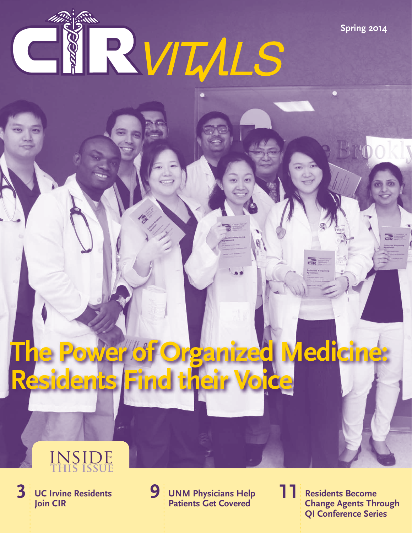RVIMLS **Come** 

**The Power of Organized Medicine: Residents Find their Voice**

### inside  **this issue**

**UC Irvine Residents Join CIR**

**3 UC Irvine Residents** 9 **UNM Physicians Help 11** Residents Become **19 Patients Get Covered** 

**11**

**QI Conference Series Change Agents Through** 

**Spring 2014**

둖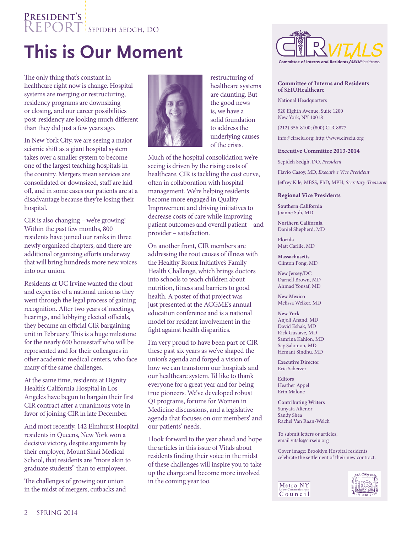### **President's** REPORT SEPIDEH SEDGH, DO

## **This is Our Moment**

The only thing that's constant in healthcare right now is change. Hospital systems are merging or restructuring, residency programs are downsizing or closing, and our career possibilities post-residency are looking much different than they did just a few years ago.

In New York City, we are seeing a major seismic shift as a giant hospital system takes over a smaller system to become one of the largest teaching hospitals in the country. Mergers mean services are consolidated or downsized, staff are laid off, and in some cases our patients are at a disadvantage because they're losing their hospital.

CIR is also changing – we're growing! Within the past few months, 800 residents have joined our ranks in three newly organized chapters, and there are additional organizing efforts underway that will bring hundreds more new voices into our union.

Residents at UC Irvine wanted the clout and expertise of a national union as they went through the legal process of gaining recognition. After two years of meetings, hearings, and lobbying elected officials, they became an official CIR bargaining unit in February. This is a huge milestone for the nearly 600 housestaff who will be represented and for their colleagues in other academic medical centers, who face many of the same challenges.

At the same time, residents at Dignity Health's California Hospital in Los Angeles have begun to bargain their first CIR contract after a unanimous vote in favor of joining CIR in late December.

And most recently, 142 Elmhurst Hospital residents in Queens, New York won a decisive victory, despite arguments by their employer, Mount Sinai Medical School, that residents are "more akin to graduate students" than to employees.

The challenges of growing our union in the midst of mergers, cutbacks and



restructuring of healthcare systems are daunting. But the good news is, we have a solid foundation to address the underlying causes of the crisis.

Much of the hospital consolidation we're seeing is driven by the rising costs of healthcare. CIR is tackling the cost curve, often in collaboration with hospital management. We're helping residents become more engaged in Quality Improvement and driving initiatives to decrease costs of care while improving patient outcomes and overall patient – and provider – satisfaction.

On another front, CIR members are addressing the root causes of illness with the Healthy Bronx Initiative's Family Health Challenge, which brings doctors into schools to teach children about nutrition, fitness and barriers to good health. A poster of that project was just presented at the ACGME's annual education conference and is a national model for resident involvement in the fight against health disparities.

I'm very proud to have been part of CIR these past six years as we've shaped the union's agenda and forged a vision of how we can transform our hospitals and our healthcare system. I'd like to thank everyone for a great year and for being true pioneers. We've developed robust QI programs, forums for Women in Medicine discussions, and a legislative agenda that focuses on our members' and our patients' needs.

I look forward to the year ahead and hope the articles in this issue of Vitals about residents finding their voice in the midst of these challenges will inspire you to take up the charge and become more involved in the coming year too.



#### **Committee of Interns and Residents of SEIUHealthcare**

National Headquarters 520 Eighth Avenue, Suite 1200 New York, NY 10018

(212) 356-8100; (800) CIR-8877

info@cirseiu.org; http://www.cirseiu.org

#### **Executive Committee 2013-2014**

Sepideh Sedgh, DO, *President* Flavio Casoy, MD, *Executive Vice President* Jeffrey Kile, MBSS, PhD, MPH, *Secretary-Treasurer*

#### **Regional Vice Presidents**

**Southern California** Joanne Suh, MD

**Northern California** Daniel Shepherd, MD

**Florida** Matt Carlile, MD

**Massachusetts** Clinton Pong, MD

**New Jersey/DC** Darnell Brown, MD Ahmad Yousaf, MD

**New Mexico** Melissa Welker, MD

**New York** Anjoli Anand, MD David Eshak, MD Rick Gustave, MD Samrina Kahlon, MD Say Salomon, MD Hemant Sindhu, MD

**Executive Director** Eric Scherzer

**Editors** Heather Appel Erin Malone

**Contributing Writers** Sunyata Altenor Sandy Shea Rachel Van Raan-Welch

To submit letters or articles, email vitals@cirseiu.org

Cover image: Brooklyn Hospital residents celebrate the settlement of their new contract.



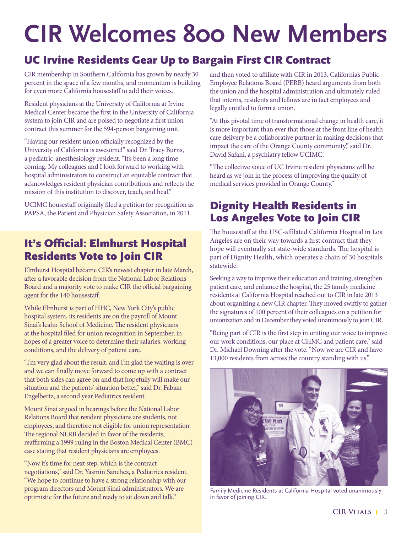# **CIR Welcomes 800 New Members**

### UC Irvine Residents Gear Up to Bargain First CIR Contract

CIR membership in Southern California has grown by nearly 30 percent in the space of a few months, and momentum is building for even more California housestaff to add their voices.

Resident physicians at the University of California at Irvine Medical Center became the first in the University of California system to join CIR and are poised to negotiate a first union contract this summer for the 594-person bargaining unit.

"Having our resident union officially recognized by the University of California is awesome!" said Dr. Tracy Burns, a pediatric-anesthesiology resident. "It's been a long time coming. My colleagues and I look forward to working with hospital administrators to construct an equitable contract that acknowledges resident physician contributions and reflects the mission of this institution to discover, teach, and heal."

UCIMC housestaff originally filed a petition for recognition as PAPSA, the Patient and Physician Safety Association, in 2011

### It's Official: Elmhurst Hospital Residents Vote to Join CIR

Elmhurst Hospital became CIR's newest chapter in late March, after a favorable decision from the National Labor Relations Board and a majority vote to make CIR the official bargaining agent for the 140 housestaff.

While Elmhurst is part of HHC, New York City's public hospital system, its residents are on the payroll of Mount Sinai's Icahn School of Medicine. The resident physicians at the hospital filed for union recognition in September, in hopes of a greater voice to determine their salaries, working conditions, and the delivery of patient care.

"I'm very glad about the result, and I'm glad the waiting is over and we can finally move forward to come up with a contract that both sides can agree on and that hopefully will make our situation and the patients' situation better," said Dr. Fabian Engelbertz, a second year Pediatrics resident.

Mount Sinai argued in hearings before the National Labor Relations Board that resident physicians are students, not employees, and therefore not eligible for union representation. The regional NLRB decided in favor of the residents, reaffirming a 1999 ruling in the Boston Medical Center (BMC) case stating that resident physicians are employees.

"Now it's time for next step, which is the contract negotiations," said Dr. Yasmin Sanchez, a Pediatrics resident. "We hope to continue to have a strong relationship with our program directors and Mount Sinai administrators. We are optimistic for the future and ready to sit down and talk."

and then voted to affiliate with CIR in 2013. California's Public Employee Relations Board (PERB) heard arguments from both the union and the hospital administration and ultimately ruled that interns, residents and fellows are in fact employees and legally entitled to form a union.

"At this pivotal time of transformational change in health care, it is more important than ever that those at the front line of health care delivery be a collaborative partner in making decisions that impact the care of the Orange County community," said Dr. David Safani, a psychiatry fellow UCIMC.

"The collective voice of UC Irvine resident physicians will be heard as we join in the process of improving the quality of medical services provided in Orange County."

### Dignity Health Residents in Los Angeles Vote to Join CIR

The housestaff at the USC-affilated California Hospital in Los Angeles are on their way towards a first contract that they hope will eventually set state-wide standards. The hospital is part of Dignity Health, which operates a chain of 30 hospitals statewide.

Seeking a way to improve their education and training, strengthen patient care, and enhance the hospital, the 25 family medicine residents at California Hospital reached out to CIR in late 2013 about organizing a new CIR chapter. They moved swiftly to gather the signatures of 100 percent of their colleagues on a petition for unionization and in December they voted unanimously to join CIR.

"Being part of CIR is the first step in uniting our voice to improve our work conditions, our place at CHMC and patient care," said Dr. Michael Downing after the vote. "Now we are CIR and have 13,000 residents from across the country standing with us."



Family Medicine Residents at California Hospital voted unanimously in favor of joining CIR.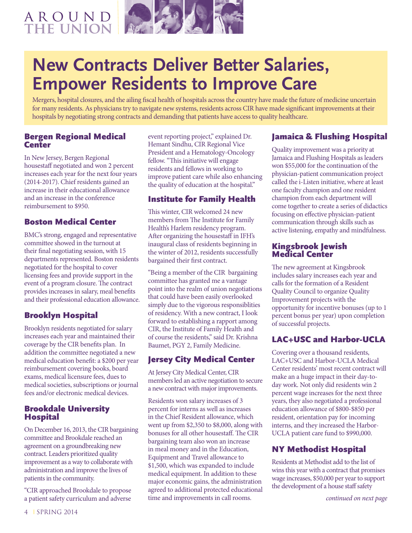### a r o u n d THE UNION



## **New Contracts Deliver Better Salaries, Empower Residents to Improve Care**

Mergers, hospital closures, and the ailing fiscal health of hospitals across the country have made the future of medicine uncertain for many residents. As physicians try to navigate new systems, residents across CIR have made significant improvements at their hospitals by negotiating strong contracts and demanding that patients have access to quality healthcare.

### Bergen Regional Medical **Center**

In New Jersey, Bergen Regional housestaff negotiated and won 2 percent increases each year for the next four years (2014-2017). Chief residents gained an increase in their educational allowance and an increase in the conference reimbursement to \$950.

### Boston Medical Center

BMC's strong, engaged and representative committee showed in the turnout at their final negotiating session, with 15 departments represented. Boston residents negotiated for the hospital to cover licensing fees and provide support in the event of a program closure. The contract provides increases in salary, meal benefits and their professional education allowance.

### Brooklyn Hospital

Brooklyn residents negotiated for salary increases each year and maintained their coverage by the CIR benefits plan. In addition the committee negotiated a new medical education benefit: a \$200 per year reimbursement covering books, board exams, medical licensure fees, dues to medical societies, subscriptions or journal fees and/or electronic medical devices.

### Brookdale University Hospital

On December 16, 2013, the CIR bargaining committee and Brookdale reached an agreement on a groundbreaking new contract. Leaders prioritized quality improvement as a way to collaborate with administration and improve the lives of patients in the community.

"CIR approached Brookdale to propose a patient safety curriculum and adverse event reporting project," explained Dr. Hemant Sindhu, CIR Regional Vice President and a Hematology-Oncology fellow. "This initiative will engage residents and fellows in working to improve patient care while also enhancing the quality of education at the hospital."

### Institute for Family Health

This winter, CIR welcomed 24 new members from The Institute for Family Health's Harlem residency program. After organizing the housestaff in IFH's inaugural class of residents beginning in the winter of 2012, residents successfully bargained their first contract.

"Being a member of the CIR bargaining committee has granted me a vantage point into the realm of union negotiations that could have been easily overlooked simply due to the vigorous responsiblities of residency. With a new contract, I look forward to establishing a rapport among CIR, the Institute of Family Health and of course the residents," said Dr. Krishna Baumet, PGY 2, Family Medicine.

### Jersey City Medical Center

At Jersey City Medical Center, CIR members led an active negotiation to secure a new contract with major improvements.

Residents won salary increases of 3 percent for interns as well as increases in the Chief Resident allowance, which went up from \$2,350 to \$8,000, along with bonuses for all other housestaff. The CIR bargaining team also won an increase in meal money and in the Education, Equipment and Travel allowance to \$1,500, which was expanded to include medical equipment. In addition to these major economic gains, the administration agreed to additional protected educational time and improvements in call rooms.

### Jamaica & Flushing Hospital

Quality improvement was a priority at Jamaica and Flushing Hospitals as leaders won \$55,000 for the continuation of the physician-patient communication project called the i-Listen initiative, where at least one faculty champion and one resident champion from each department will come together to create a series of didactics focusing on effective physician-patient communication through skills such as active listening, empathy and mindfulness.

#### Kingsbrook Jewish Medical Center

The new agreement at Kingsbrook includes salary increases each year and calls for the formation of a Resident Quality Council to organize Quality Improvement projects with the opportunity for incentive bonuses (up to 1 percent bonus per year) upon completion of successful projects.

### LAC+USC and Harbor-UCLA

Covering over a thousand residents, LAC+USC and Harbor-UCLA Medical Center residents' most recent contract will make an a huge impact in their day-today work. Not only did residents win 2 percent wage increases for the next three years, they also negotiated a professional education allowance of \$800-\$850 per resident, orientation pay for incoming interns, and they increased the Harbor-UCLA patient care fund to \$990,000.

### NY Methodist Hospital

Residents at Methodist add to the list of wins this year with a contract that promises wage increases, \$50,000 per year to support the development of a house staff safety

*continued on next page*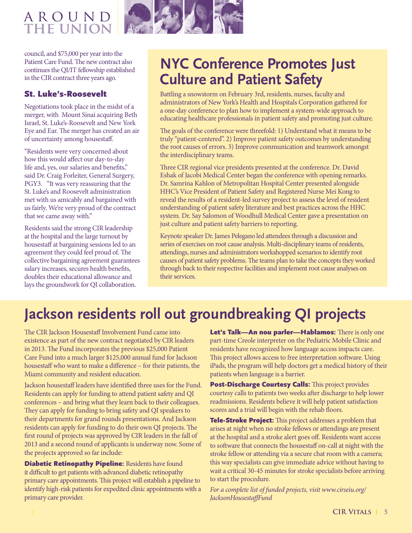### a r o u n d **the union**



council, and \$75,000 per year into the Patient Care Fund. The new contract also continues the QI/IT fellowship established in the CIR contract three years ago.

### St. Luke's-Roosevelt

Negotiations took place in the midst of a merger, with Mount Sinai acquiring Beth Israel, St. Luke's-Roosevelt and New York Eye and Ear. The merger has created an air of uncertainty among housestaff.

"Residents were very concerned about how this would affect our day-to-day life and, yes, our salaries and benefits," said Dr. Craig Forleiter, General Surgery, PGY3. "It was very reassuring that the St. Luke's and Roosevelt administration met with us amicably and bargained with us fairly. We're very proud of the contract that we came away with."

Residents said the strong CIR leadership at the hospital and the large turnout by housestaff at bargaining sessions led to an agreement they could feel proud of. The collective bargaining agreement guarantees salary increases, secures health benefits, doubles their educational allowance and lays the groundwork for QI collaboration.

### **NYC Conference Promotes Just Culture and Patient Safety**

Battling a snowstorm on February 3rd, residents, nurses, faculty and administrators of New York's Health and Hospitals Corporation gathered for a one-day conference to plan how to implement a system-wide approach to educating healthcare professionals in patient safety and promoting just culture.

The goals of the conference were threefold: 1) Understand what it means to be truly "patient-centered". 2) Improve patient safety outcomes by understanding the root causes of errors. 3) Improve communication and teamwork amongst the interdisciplinary teams.

Three CIR regional vice presidents presented at the conference. Dr. David Eshak of Jacobi Medical Center began the conference with opening remarks. Dr. Samrina Kahlon of Metropolitan Hospital Center presented alongside HHC's Vice President of Patient Safety and Registered Nurse Mei Kong to reveal the results of a resident-led survey project to assess the level of resident understanding of patient safety literature and best practices across the HHC system. Dr. Say Salomon of Woodhull Medical Center gave a presentation on just culture and patient safety barriers to reporting.

Keynote speaker Dr. James Pelegano led attendees through a discussion and series of exercises on root cause analysis. Multi-disciplinary teams of residents, attendings, nurses and administrators workshopped scenarios to identify root causes of patient safety problems. The teams plan to take the concepts they worked through back to their respective facilities and implement root cause analyses on their services.

## **Jackson residents roll out groundbreaking QI projects**

The CIR Jackson Housestaff Involvement Fund came into existence as part of the new contract negotiated by CIR leaders in 2013. The Fund incorporates the previous \$25,000 Patient Care Fund into a much larger \$125,000 annual fund for Jackson housestaff who want to make a difference – for their patients, the Miami community and resident education.

Jackson housestaff leaders have identified three uses for the Fund. Residents can apply for funding to attend patient safety and QI conferences – and bring what they learn back to their colleagues. They can apply for funding to bring safety and QI speakers to their departments for grand rounds presentations. And Jackson residents can apply for funding to do their own QI projects. The first round of projects was approved by CIR leaders in the fall of 2013 and a second round of applicants is underway now. Some of the projects approved so far include:

Diabetic Retinopathy Pipeline: Residents have found it difficult to get patients with advanced diabetic retinopathy primary care appointments. This project will establish a pipeline to identify high-risk patients for expedited clinic appointments with a primary care provider.

Let's Talk-An nou parler-Hablamos: There is only one part-time Creole interpreter on the Pediatric Mobile Clinic and residents have recognized how language access impacts care. This project allows access to free interpretation software. Using iPads, the program will help doctors get a medical history of their patients when language is a barrier.

Post-Discharge Courtesy Calls: This project provides courtesy calls to patients two weeks after discharge to help lower readmissions. Residents believe it will help patient satisfaction scores and a trial will begin with the rehab floors.

**Tele-Stroke Project:** This project addresses a problem that arises at night when no stroke fellows or attendings are present at the hospital and a stroke alert goes off. Residents want access to software that connects the housestaff on-call at night with the stroke fellow or attending via a secure chat room with a camera; this way specialists can give immediate advice without having to wait a critical 30-45 minutes for stroke specialists before arriving to start the procedure.

*For a complete list of funded projects, visit www.cirseiu.org/ JacksonHousestaffFund*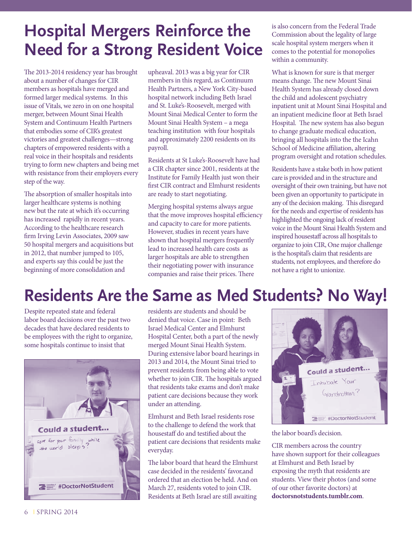## **Hospital Mergers Reinforce the Need for a Strong Resident Voice**

The 2013-2014 residency year has brought about a number of changes for CIR members as hospitals have merged and formed larger medical systems. In this issue of Vitals, we zero in on one hospital merger, between Mount Sinai Health System and Continuum Health Partners that embodies some of CIR's greatest victories and greatest challenges—strong chapters of empowered residents with a real voice in their hospitals and residents trying to form new chapters and being met with resistance from their employers every step of the way.

The absorption of smaller hospitals into larger healthcare systems is nothing new but the rate at which it's occurring has increased rapidly in recent years. According to the healthcare research firm Irving Levin Associates, 2009 saw 50 hospital mergers and acquisitions but in 2012, that number jumped to 105, and experts say this could be just the beginning of more consolidation and

upheaval. 2013 was a big year for CIR members in this regard, as Continuum Health Partners, a New York City-based hospital network including Beth Israel and St. Luke's-Roosevelt, merged with Mount Sinai Medical Center to form the Mount Sinai Health System – a mega teaching institution with four hospitals and approximately 2200 residents on its payroll.

Residents at St Luke's-Roosevelt have had a CIR chapter since 2001, residents at the Institute for Family Health just won their first CIR contract and Elmhurst residents are ready to start negotiating.

Merging hospital systems always argue that the move improves hospital efficiency and capacity to care for more patients. However, studies in recent years have shown that hospital mergers frequently lead to increased health care costs as larger hospitals are able to strengthen their negotiating power with insurance companies and raise their prices. There

is also concern from the Federal Trade Commission about the legality of large scale hospital system mergers when it comes to the potential for monopolies within a community.

What is known for sure is that merger means change. The new Mount Sinai Health System has already closed down the child and adolescent psychiatry inpatient unit at Mount Sinai Hospital and an inpatient medicine floor at Beth Israel Hospital. The new system has also begun to change graduate medical education, bringing all hospitals into the the Icahn School of Medicine affiliation, altering program oversight and rotation schedules.

Residents have a stake both in how patient care is provided and in the structure and oversight of their own training, but have not been given an opportunity to participate in any of the decision making. This disregard for the needs and expertise of residents has highlighted the ongoing lack of resident voice in the Mount Sinai Health System and inspired housestaff across all hospitals to organize to join CIR, One major challenge is the hospital's claim that residents are students, not employees, and therefore do not have a right to unionize.

## **Residents Are the Same as Med Students? No Way!**

Despite repeated state and federal labor board decisions over the past two decades that have declared residents to be employees with the right to organize, some hospitals continue to insist that



residents are students and should be denied that voice. Case in point: Beth Israel Medical Center and Elmhurst Hospital Center, both a part of the newly merged Mount Sinai Health System. During extensive labor board hearings in 2013 and 2014, the Mount Sinai tried to prevent residents from being able to vote whether to join CIR. The hospitals argued that residents take exams and don't make patient care decisions because they work under an attending.

Elmhurst and Beth Israel residents rose to the challenge to defend the work that housestaff do and testified about the patient care decisions that residents make everyday.

The labor board that heard the Elmhurst case decided in the residents' favor,and ordered that an election be held. And on March 27, residents voted to join CIR. Residents at Beth Israel are still awaiting



the labor board's decision.

CIR members across the country have shown support for their colleagues at Elmhurst and Beth Israel by exposing the myth that residents are students. View their photos (and some of our other favorite doctors) at **doctorsnotstudents.tumblr.com**.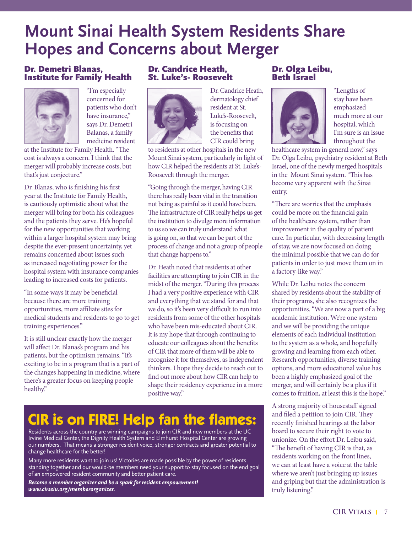## **Mount Sinai Health System Residents Share Hopes and Concerns about Merger**

### Dr. Demetri Blanas, Institute for Family Health



"I'm especially concerned for patients who don't have insurance," says Dr. Demetri Balanas, a family medicine resident

at the Institute for Family Health. "The cost is always a concern. I think that the merger will probably increase costs, but that's just conjecture."

Dr. Blanas, who is finishing his first year at the Institute for Family Health, is cautiously optimistic about what the merger will bring for both his colleagues and the patients they serve. He's hopeful for the new opportunities that working within a larger hospital system may bring despite the ever-present uncertainty, yet remains concerned about issues such as increased negotiating power for the hospital system with insurance companies leading to increased costs for patients.

"In some ways it may be beneficial because there are more training opportunities, more affiliate sites for medical students and residents to go to get training experiences."

It is still unclear exactly how the merger will affect Dr. Blanas's program and his patients, but the optimism remains. "It's exciting to be in a program that is a part of the changes happening in medicine, where there's a greater focus on keeping people healthy."

### Dr. Candrice Heath, St. Luke's- Roosevelt



Dr. Candrice Heath, dermatology chief resident at St. Luke's-Roosevelt, is focusing on the benefits that CIR could bring

to residents at other hospitals in the new Mount Sinai system, particularly in light of how CIR helped the residents at St. Luke's-Roosevelt through the merger.

"Going through the merger, having CIR there has really been vital in the transition not being as painful as it could have been. The infrastructure of CIR really helps us get the institution to divulge more information to us so we can truly understand what is going on, so that we can be part of the process of change and not a group of people that change happens to."

Dr. Heath noted that residents at other facilities are attempting to join CIR in the midst of the merger. "During this process I had a very positive experience with CIR and everything that we stand for and that we do, so it's been very difficult to run into residents from some of the other hospitals who have been mis-educated about CIR. It is my hope that through continuing to educate our colleagues about the benefits of CIR that more of them will be able to recognize it for themselves, as independent thinkers. I hope they decide to reach out to find out more about how CIR can help to shape their residency experience in a more positive way."

## **CIR is on FIRE! Help fan the flames:**

Residents across the country are winning campaigns to join CIR and new members at the UC Irvine Medical Center, the Dignity Health System and Elmhurst Hospital Center are growing our numbers. That means a stronger resident voice, stronger contracts and greater potential to change healthcare for the better!

Many more residents want to join us! Victories are made possible by the power of residents standing together and our would-be members need your support to stay focused on the end goal of an empowered resident community and better patient care.

*Become a member organizer and be a spark for resident empowerment! www.cirseiu.org/memberorganizer.*

### Dr. Olga Leibu, Beth Israel



"Lengths of stay have been emphasized much more at our hospital, which I'm sure is an issue throughout the

healthcare system in general now," says Dr. Olga Leibu, psychiatry resident at Beth Israel, one of the newly merged hospitals in the Mount Sinai system. "This has become very apparent with the Sinai entry.

"There are worries that the emphasis could be more on the financial gain of the healthcare system, rather than improvement in the quality of patient care. In particular, with decreasing length of stay, we are now focused on doing the minimal possible that we can do for patients in order to just move them on in a factory-like way."

While Dr. Leibu notes the concern shared by residents about the stability of their programs, she also recognizes the opportunities. "We are now a part of a big academic institution. We're one system and we will be providing the unique elements of each individual institution to the system as a whole, and hopefully growing and learning from each other. Research opportunities, diverse training options, and more educational value has been a highly emphasized goal of the merger, and will certainly be a plus if it comes to fruition, at least this is the hope."

A strong majority of housestaff signed and filed a petition to join CIR. They recently finished hearings at the labor board to secure their right to vote to unionize. On the effort Dr. Leibu said, "The benefit of having CIR is that, as residents working on the front lines, we can at least have a voice at the table where we aren't just bringing up issues and griping but that the administration is truly listening."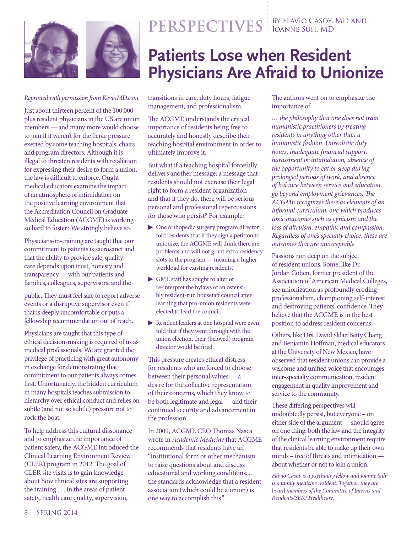



**PERSPECTIVES** BY FLAVIO CASOY, MD AND

## **Patients Lose when Resident Physicians Are Afraid to Unionize**

*Reprinted with permission from KevinMD.com.* 

Just about thirteen percent of the 100,000 plus resident physicians in the US are union members — and many more would choose to join if it weren't for the fierce pressure exerted by some teaching hospitals, chairs and program directors. Although it is illegal to threaten residents with retaliation for expressing their desire to form a union, the law is difficult to enforce. Ought medical educators examine the impact of an atmosphere of intimidation on the positive learning environment that the Accreditation Council on Graduate Medical Education (ACGME) is working so hard to foster? We strongly believe so.

Physicians-in-training are taught that our commitment to patients is sacrosanct and that the ability to provide safe, quality care depends upon trust, honesty and transparency — with our patients and families, colleagues, supervisors, and the

public. They must feel safe to report adverse events or a disruptive supervisor even if that is deeply uncomfortable or puts a fellowship recommendation out of reach.

Physicians are taught that this type of ethical decision-making is required of us as medical professionals. We are granted the privilege of practicing with great autonomy in exchange for demonstrating that commitment to our patients always comes first. Unfortunately, the hidden curriculum in many hospitals teaches submission to hierarchy over ethical conduct and relies on subtle (and not so subtle) pressure not to rock the boat.

To help address this cultural dissonance and to emphasize the importance of patient safety, the ACGME introduced the Clinical Learning Environment Review (CLER) program in 2012. The goal of CLER site visits is to gain knowledge about how clinical sites are supporting the training . . . in the areas of patient safety, health care quality, supervision,

transitions in care, duty hours, fatigue management, and professionalism.

The ACGME understands the critical importance of residents being free to accurately and honestly describe their teaching hospital environment in order to ultimately improve it.

But what if a teaching hospital forcefully delivers another message; a message that residents should not exercise their legal right to form a resident organization and that if they do, there will be serious personal and professional repercussions for those who persist? For example:

- ▶ One orthopedic surgery program director told residents that if they sign a petition to unionize, the ACGME will think there are problems and will not grant extra residency slots to the program — meaning a higher workload for existing residents.
- GME staff has sought to alter or re-interpret the bylaws of an ostensibly resident-run housetaff council after learning that pro-union residents were elected to lead the council.
- Resident leaders at one hospital were even told that if they went through with the union election, their (beloved) program director would be fired.

This pressure creates ethical distress for residents who are forced to choose between their personal values — a desire for the collective representation of their concerns, which they know to be both legitimate and legal — and their continued security and advancement in the profession.

In 2009, ACGME CEO Thomas Nasca wrote in *Academic Medicine* that ACGME recommends that residents have an "institutional form or other mechanism to raise questions about and discuss educational and working conditions.... the standards acknowledge that a resident association (which could be a union) is one way to accomplish this."

The authors went on to emphasize the importance of:

*… the philosophy that one does not train humanistic practitioners by treating residents in anything other than a humanistic fashion. Unrealistic duty hours, inadequate financial support, harassment or intimidation, absence of the opportunity to eat or sleep during prolonged periods of work, and absence of balance between service and education go beyond employment grievances. The ACGME recognizes these as elements of an informal curriculum, one which produces toxic outcomes such as cynicism and the loss of altruism, empathy, and compassion. Regardless of one's specialty choice, these are outcomes that are unacceptable.*

Passions run deep on the subject of resident unions. Some, like Dr. Jordan Cohen, former president of the Association of American Medical Colleges, see unionization as profoundly eroding professionalism, championing self-interest and destroying patients' confidence. They believe that the ACGME is in the best position to address resident concerns.

Others, like Drs. David Sklar, Betty Chang and Benjamin Hoffman, medical educators at the University of New Mexico, have observed that resident unions can provide a welcome and unified voice that encourages inter-specialty communication, resident engagement in quality improvement and service to the community.

These differing perspectives will undoubtedly persist, but everyone – on either side of the argument — should agree on one thing: both the law and the integrity of the clinical learning environment require that residents be able to make up their own minds – free of threats and intimidation about whether or not to join a union.

*Flávio Casoy is a psychiatry fellow and Joanne Suh is a family medicine resident. Together, they are board members of the Committee of Interns and Residents/SEIU Healthcare.*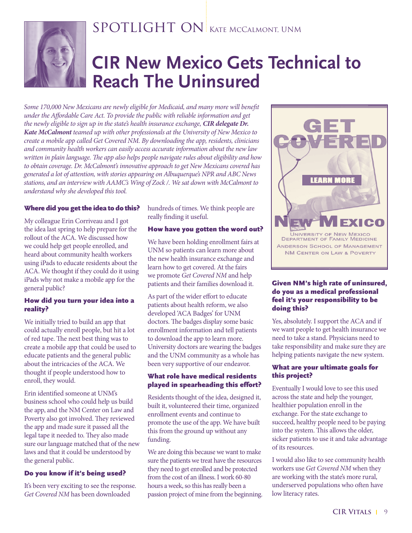

### SPOTLIGHT ON KATE MCCALMONT, UNM

## **CIR New Mexico Gets Technical to Reach The Uninsured**

*Some 170,000 New Mexicans are newly eligible for Medicaid, and many more will benefit under the Affordable Care Act. To provide the public with reliable information and get the newly eligible to sign up in the state's health insurance exchange, CIR delegate Dr. Kate McCalmont teamed up with other professionals at the University of New Mexico to create a mobile app called Get Covered NM. By downloading the app, residents, clinicians and community health workers can easily access accurate information about the new law written in plain language. The app also helps people navigate rules about eligibility and how to obtain coverage. Dr. McCalmont's innovative approach to get New Mexicans covered has generated a lot of attention, with stories appearing on Albuquerque's NPR and ABC News stations, and an interview with AAMC's Wing of Zock /. We sat down with McCalmont to understand why she developed this tool.*

#### Where did you get the idea to do this?

My colleague Erin Corriveau and I got the idea last spring to help prepare for the rollout of the ACA. We discussed how we could help get people enrolled, and heard about community health workers using iPads to educate residents about the ACA. We thought if they could do it using iPads why not make a mobile app for the general public?

#### How did you turn your idea into a reality?

We initially tried to build an app that could actually enroll people, but hit a lot of red tape. The next best thing was to create a mobile app that could be used to educate patients and the general public about the intricacies of the ACA. We thought if people understood how to enroll, they would.

Erin identified someone at UNM's business school who could help us build the app, and the NM Center on Law and Poverty also got involved. They reviewed the app and made sure it passed all the legal tape it needed to. They also made sure our language matched that of the new laws and that it could be understood by the general public.

#### Do you know if it's being used?

It's been very exciting to see the response. *Get Covered NM* has been downloaded

hundreds of times. We think people are really finding it useful.

#### How have you gotten the word out?

We have been holding enrollment fairs at UNM so patients can learn more about the new health insurance exchange and learn how to get covered. At the fairs we promote *Get Covered NM* and help patients and their families download it.

As part of the wider effort to educate patients about health reform, we also developed 'ACA Badges' for UNM doctors. The badges display some basic enrollment information and tell patients to download the app to learn more. University doctors are wearing the badges and the UNM community as a whole has been very supportive of our endeavor.

#### What role have medical residents played in spearheading this effort?

Residents thought of the idea, designed it, built it, volunteered their time, organized enrollment events and continue to promote the use of the app. We have built this from the ground up without any funding.

We are doing this because we want to make sure the patients we treat have the resources they need to get enrolled and be protected from the cost of an illness. I work 60-80 hours a week, so this has really been a passion project of mine from the beginning.



#### Given NM's high rate of uninsured, do you as a medical professional feel it's your responsibility to be doing this?

Yes, absolutely. I support the ACA and if we want people to get health insurance we need to take a stand. Physicians need to take responsibility and make sure they are helping patients navigate the new system.

#### What are your ultimate goals for this project?

Eventually I would love to see this used across the state and help the younger, healthier population enroll in the exchange. For the state exchange to succeed, healthy people need to be paying into the system. This allows the older, sicker patients to use it and take advantage of its resources.

I would also like to see community health workers use *Get Covered NM* when they are working with the state's more rural, underserved populations who often have low literacy rates.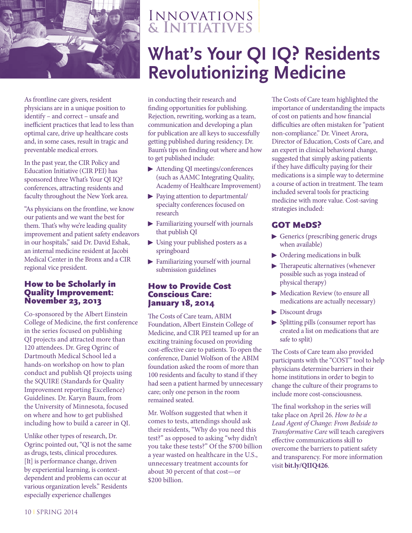

As frontline care givers, resident physicians are in a unique position to identify – and correct – unsafe and inefficient practices that lead to less than optimal care, drive up healthcare costs and, in some cases, result in tragic and preventable medical errors.

In the past year, the CIR Policy and Education Initiative (CIR PEI) has sponsored three What's Your QI IQ? conferences, attracting residents and faculty throughout the New York area.

"As physicians on the frontline, we know our patients and we want the best for them. That's why we're leading quality improvement and patient safety endeavors in our hospitals," said Dr. David Eshak, an internal medicine resident at Jacobi Medical Center in the Bronx and a CIR regional vice president.

### How to be Scholarly in Quality Improvement: November 23, 2013

Co-sponsored by the Albert Einstein College of Medicine, the first conference in the series focused on publishing QI projects and attracted more than 120 attendees. Dr. Greg Ogrinc of Dartmouth Medical School led a hands-on workshop on how to plan conduct and publish QI projects using the SQUIRE (Standards for Quality Improvement reporting Excellence) Guidelines. Dr. Karyn Baum, from the University of Minnesota, focused on where and how to get published including how to build a career in QI.

Unlike other types of research, Dr. Ogrinc pointed out, "QI is not the same as drugs, tests, clinical procedures. [It] is performance change, driven by experiential learning, is contextdependent and problems can occur at various organization levels." Residents especially experience challenges

### Innovations **& Initiatives**

## **What's Your QI IQ? Residents Revolutionizing Medicine**

in conducting their research and finding opportunities for publishing. Rejection, rewriting, working as a team, communication and developing a plan for publication are all keys to successfully getting published during residency. Dr. Baum's tips on finding out where and how to get published include:

- ▶ Attending QI meetings/conferences (such as AAMC Integrating Quality, Academy of Healthcare Improvement)
- ▶ Paying attention to departmental/ specialty conferences focused on research
- $\blacktriangleright$  Familiarizing yourself with journals that publish QI
- $\blacktriangleright$  Using your published posters as a springboard
- **Examiliarizing yourself with journal** submission guidelines

### How to Provide Cost Conscious Care: January 18, 2014

The Costs of Care team, ABIM Foundation, Albert Einstein College of Medicine, and CIR PEI teamed up for an exciting training focused on providing cost-effective care to patients. To open the conference, Daniel Wolfson of the ABIM foundation asked the room of more than 100 residents and faculty to stand if they had seen a patient harmed by unnecessary care; only one person in the room remained seated.

Mr. Wolfson suggested that when it comes to tests, attendings should ask their residents, "Why do you need this test?" as opposed to asking "why didn't you take these tests?" Of the \$700 billion a year wasted on healthcare in the U.S., unnecessary treatment accounts for about 30 percent of that cost—or \$200 billion.

The Costs of Care team highlighted the importance of understanding the impacts of cost on patients and how financial difficulties are often mistaken for "patient non-compliance." Dr. Vineet Arora, Director of Education, Costs of Care, and an expert in clinical behavioral change, suggested that simply asking patients if they have difficulty paying for their medications is a simple way to determine a course of action in treatment. The team included several tools for practicing medicine with more value. Cost-saving strategies included:

### GOT MeDS?

- <sup>¼</sup> Generics (prescribing generic drugs when available)
- $\triangleright$  Ordering medications in bulk
- $\blacktriangleright$  Therapeutic alternatives (whenever possible such as yoga instead of physical therapy)
- Medication Review (to ensure all medications are actually necessary)
- Discount drugs
- $\blacktriangleright$  Splitting pills (consumer report has created a list on medications that are safe to split)

The Costs of Care team also provided participants with the "COST" tool to help physicians determine barriers in their home institutions in order to begin to change the culture of their programs to include more cost-consciousness.

The final workshop in the series will take place on April 26. *How to be a Lead Agent of Change: From Bedside to Transformative Care* will teach caregivers effective communications skill to overcome the barriers to patient safety and transparency. For more information visit **bit.ly/QIIQ426**.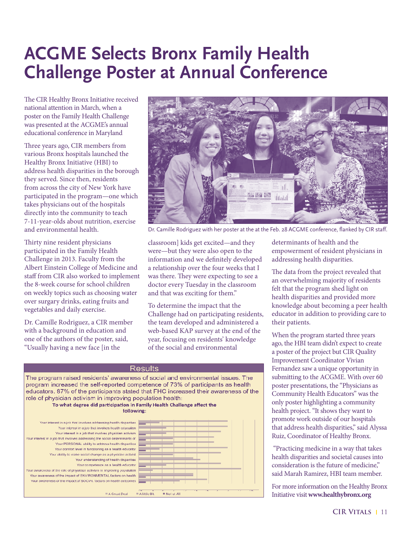## **ACGME Selects Bronx Family Health Challenge Poster at Annual Conference**

The CIR Healthy Bronx Initiative received national attention in March, when a poster on the Family Health Challenge was presented at the ACGME's annual educational conference in Maryland

Three years ago, CIR members from various Bronx hospitals launched the Healthy Bronx Initiative (HBI) to address health disparities in the borough they served. Since then, residents from across the city of New York have participated in the program—one which takes physicians out of the hospitals directly into the community to teach 7-11-year-olds about nutrition, exercise and environmental health.

Thirty nine resident physicians participated in the Family Health Challenge in 2013. Faculty from the Albert Einstein College of Medicine and staff from CIR also worked to implement the 8-week course for school children on weekly topics such as choosing water over surgary drinks, eating fruits and vegetables and daily exercise.

Dr. Camille Rodriguez, a CIR member with a background in education and one of the authors of the poster, said, "Usually having a new face [in the



Dr. Camille Rodriguez with her poster at the at the Feb. 28 ACGME conference, flanked by CIR staff.

classroom] kids get excited—and they were—but they were also open to the information and we definitely developed a relationship over the four weeks that I was there. They were expecting to see a doctor every Tuesday in the classroom and that was exciting for them."

To determine the impact that the Challenge had on participating residents, the team developed and administered a web-based KAP survey at the end of the year, focusing on residents' knowledge of the social and environmental



determinants of health and the empowerment of resident physicians in addressing health disparities.

The data from the project revealed that an overwhelming majority of residents felt that the program shed light on health disparities and provided more knowledge about becoming a peer health educator in addition to providing care to their patients.

When the program started three years ago, the HBI team didn't expect to create a poster of the project but CIR Quality Improvement Coordinator Vivian Fernandez saw a unique opportunity in submitting to the ACGME. With over 60 poster presentations, the "Physicians as Community Health Educators" was the only poster highlighting a community health project. "It shows they want to promote work outside of our hospitals that address health disparities," said Alyssa Ruiz, Coordinator of Healthy Bronx.

 "Practicing medicine in a way that takes health disparities and societal causes into consideration is the future of medicine," said Marah Ramirez, HBI team member.

For more information on the Healthy Bronx Initiative visit **www.healthybronx.org**